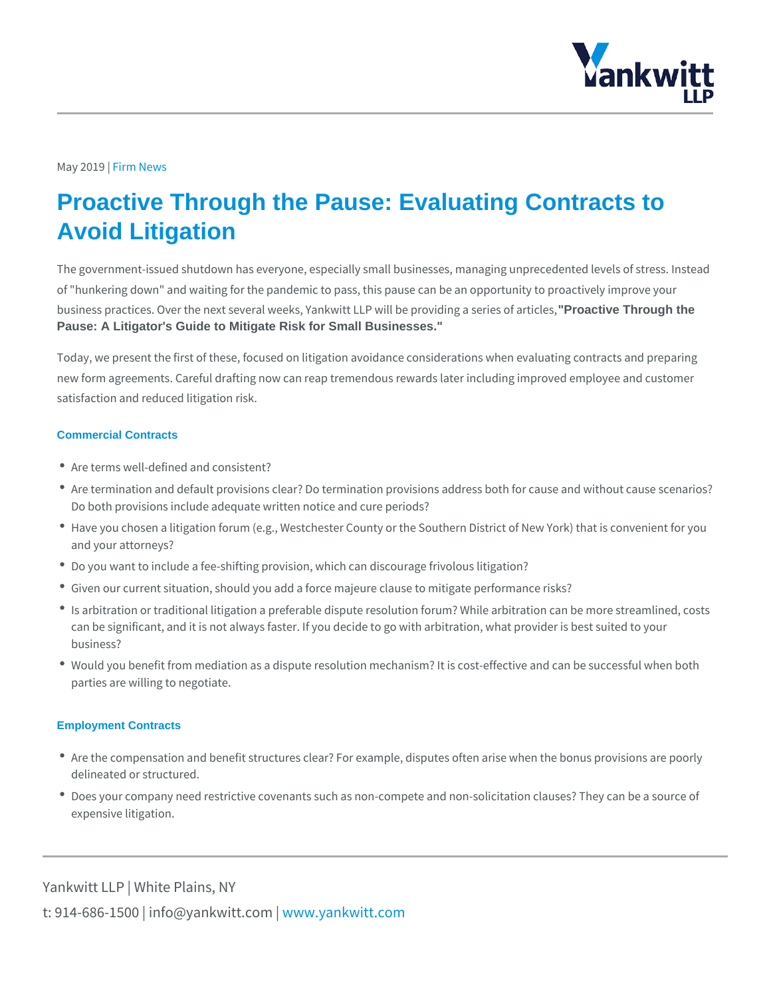## $May 20F1i9m$  News

## Proactive Through the Pause: Evaluating Contracts to Avoid Litigation

The government-issued shutdown has everyone, especially small businesses, mar of "hunkering down" and waiting for the pandemic to pass, this pause can be an business practices. Over the next several weeks, Yankwith roadtibe Thiough the providing Pause: A Litigator's Guide to Mitigate Risk for Small Businesses."

Today, we present the first of these, focused on litigation avoidance considerati new form agreements. Careful drafting now can reap tremendous rewards later in satisfaction and reduced litigation risk.

## Commercial Contracts

- Are terms well-defined and consistent?
- \* Are termination and default provisions clear? Do termination provisions addres Do both provisions include adequate written notice and cure periods?
- Have you chosen a litigation forum (e.g., Westchester County or the Southern I and your attorneys?
- Do you want to include a fee-shifting provision, which can discourage frivolous
- Given our current situation, should you add a force majeure clause to mitigate
- Is arbitration or traditional litigation a preferable dispute resolution forum? Wh can be significant, and it is not always faster. If you decide to go with arbitrat business?
- \* Would you benefit from mediation as a dispute resolution mechanism? It is costparties are willing to negotiate.

## Employment Contracts

- \* Are the compensation and benefit structures clear? For example, disputes ofter delineated or structured.
- \* Does your company need restrictive covenants such as non-compete and non-sc expensive litigation.

Yankwitt LLP | White Plains, NY t:  $914 - 686 - 1500$  | info@y wawn ky wom intit wo io tm c p m